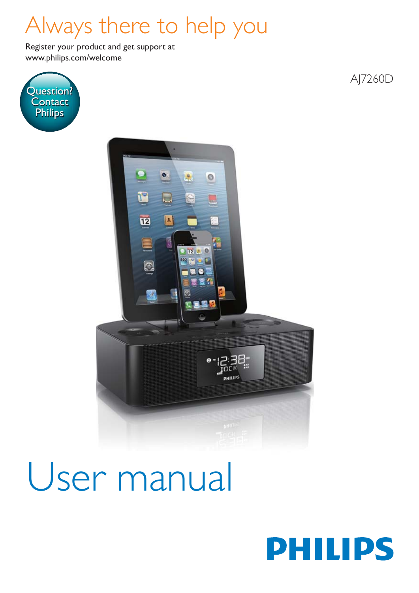## Always there to help you

www.philips.com/welcome Register your product and get support at







# User manual

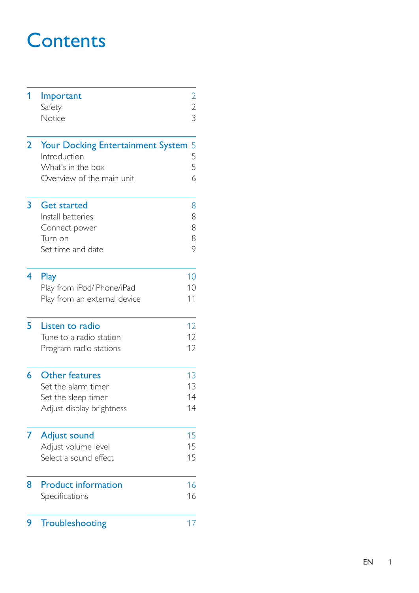## **Contents**

| 1 | Important<br>Safety<br>Notice                                                                       | $\overline{c}$<br>$\frac{2}{3}$ |
|---|-----------------------------------------------------------------------------------------------------|---------------------------------|
| 2 | Your Docking Entertainment System<br>Introduction<br>What's in the box<br>Overview of the main unit | 5<br>$\frac{5}{5}$<br>6         |
| 3 | <b>Get started</b><br>Install batteries<br>Connect power<br>Turn on<br>Set time and date            | 8<br>8<br>8<br>8<br>9           |
| 4 | Play<br>Play from iPod/iPhone/iPad<br>Play from an external device                                  | 10<br>10<br>11                  |
| 5 | Listen to radio<br>Tune to a radio station<br>Program radio stations                                | 12<br>12<br>12                  |
| 6 | <b>Other features</b><br>Set the alarm timer<br>Set the sleep timer<br>Adjust display brightness    | 13<br>13<br>14<br>14            |
| 7 | Adjust sound<br>Adjust volume level<br>Select a sound effect                                        | 15<br>15<br>15                  |
| 8 | <b>Product information</b><br>Specifications                                                        | 16<br>16                        |
| 9 | Troubleshooting                                                                                     | 17                              |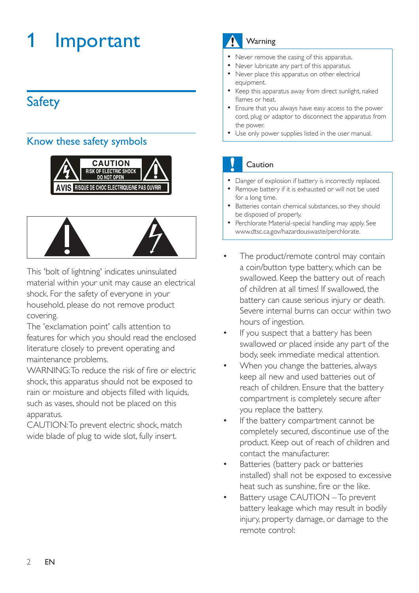## <span id="page-3-0"></span>**Important**

## **Safety**

## Know these safety symbols





This 'bolt of lightning' indicates uninsulated material within your unit may cause an electrical shock. For the safety of everyone in your household, please do not remove product covering.

The 'exclamation point' calls attention to features for which you should read the enclosed literature closely to prevent operating and maintenance problems.

WARNING: To reduce the risk of fire or electric shock, this apparatus should not be exposed to rain or moisture and objects filled with liquids, such as vases, should not be placed on this apparatus.

CAUTION: To prevent electric shock, match wide blade of plug to wide slot, fully insert.

## Warning

- Never remove the casing of this apparatus.
- Never lubricate any part of this apparatus.
- Never place this apparatus on other electrical equipment.
- Keep this apparatus away from direct sunlight, naked flames or heat
- Ensure that you always have easy access to the power cord, plug or adaptor to disconnect the apparatus from the power.
- Use only power supplies listed in the user manual.

## Caution

- Danger of explosion if battery is incorrectly replaced.
- Remove battery if it is exhausted or will not be used for a long time.
- Batteries contain chemical substances, so they should be disposed of properly.
- Perchlorate Material-special handling may apply. See www.dtsc.ca.gov/hazardouswaste/perchlorate.
- The product/remote control may contain a coin/button type battery, which can be swallowed. Keep the battery out of reach of children at all times! If swallowed, the battery can cause serious injury or death. Severe internal burns can occur within two hours of ingestion.
- If you suspect that a battery has been swallowed or placed inside any part of the body, seek immediate medical attention.
- When you change the batteries, always keep all new and used batteries out of reach of children. Ensure that the battery compartment is completely secure after you replace the battery.
- If the battery compartment cannot be completely secured, discontinue use of the product. Keep out of reach of children and contact the manufacturer.
- Batteries (battery pack or batteries installed) shall not be exposed to excessive heat such as sunshine, fire or the like.
- Battery usage CAUTION To prevent battery leakage which may result in bodily injury, property damage, or damage to the remote control: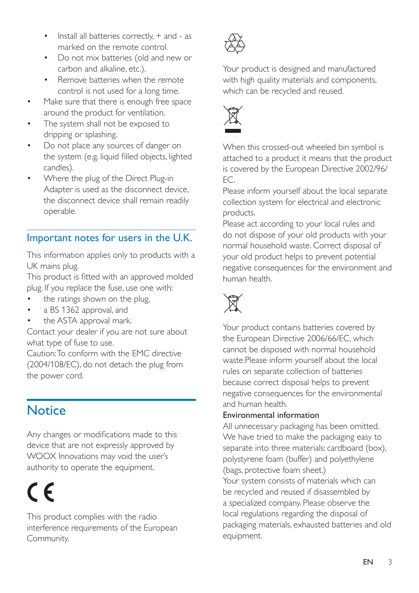- <span id="page-4-0"></span> $\cdot$  Install all batteries correctly,  $+$  and - as marked on the remote control.
- Do not mix batteries (old and new or carbon and alkaline, etc.).
- Remove batteries when the remote control is not used for a long time.
- Make sure that there is enough free space around the product for ventilation.
- The system shall not be exposed to dripping or splashing.
- Do not place any sources of danger on the system (e.g. liquid filled objects, lighted candles).
- Where the plug of the Direct Plug-in Adapter is used as the disconnect device, the disconnect device shall remain readily operable.

## Important notes for users in the U.K.

This information applies only to products with a UK mains plug.

This product is fitted with an approved molded plug. If you replace the fuse, use one with:

- the ratings shown on the plug,
- a BS 1362 approval, and
- the ASTA approval mark.

Contact your dealer if you are not sure about what type of fuse to use.

Caution: To conform with the EMC directive (2004/108/EC), do not detach the plug from the power cord.

## **Notice**

Any changes or modifications made to this device that are not expressly approved by WOOX Innovations may void the user's authority to operate the equipment.

## $\epsilon$

This product complies with the radio interference requirements of the European Community.



Your product is designed and manufactured with high quality materials and components, which can be recycled and reused.



When this crossed-out wheeled bin symbol is attached to a product it means that the product is covered by the European Directive 2002/96/ EC.

Please inform yourself about the local separate collection system for electrical and electronic products.

Please act according to your local rules and do not dispose of your old products with your normal household waste. Correct disposal of your old product helps to prevent potential negative consequences for the environment and human health.



Your product contains batteries covered by the European Directive 2006/66/EC, which cannot be disposed with normal household waste.Please inform yourself about the local rules on separate collection of batteries because correct disposal helps to prevent negative consequences for the environmental and human health.

#### Environmental information

All unnecessary packaging has been omitted. We have tried to make the packaging easy to separate into three materials: cardboard (box), polystyrene foam (buffer) and polyethylene (bags, protective foam sheet.)

Your system consists of materials which can be recycled and reused if disassembled by a specialized company. Please observe the local regulations regarding the disposal of packaging materials, exhausted batteries and old equipment.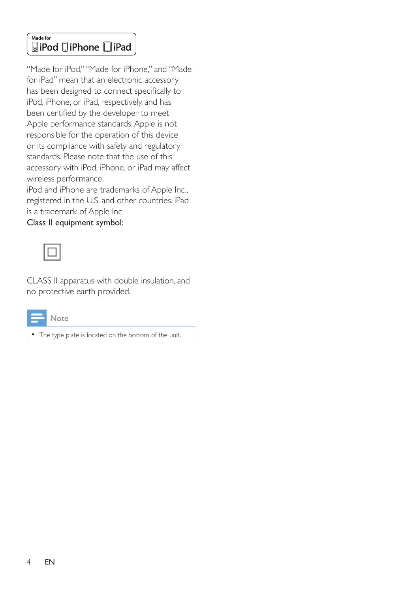#### Made for **SiPod DiPhone DiPad**

"Made for iPod," "Made for iPhone," and "Made for iPad" mean that an electronic accessory has been designed to connect specifically to iPod, iPhone, or iPad, respectively, and has been certified by the developer to meet Apple performance standards. Apple is not responsible for the operation of this device or its compliance with safety and regulatory standards. Please note that the use of this accessory with iPod, iPhone, or iPad may affect wireless performance.

iPod and iPhone are trademarks of Apple Inc., registered in the U.S. and other countries. iPad is a trademark of Apple Inc.

Class II equipment symbol:

CLASS II apparatus with double insulation, and no protective earth provided.



The type plate is located on the bottom of the unit.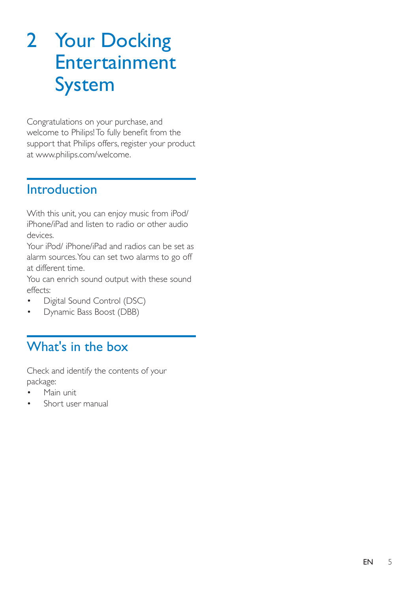## <span id="page-6-0"></span>2 Your Docking Entertainment System

Congratulations on your purchase, and welcome to Philips! To fully benefit from the support that Philips offers, register your product at www.philips.com/welcome.

## **Introduction**

With this unit, you can enjoy music from iPod/ iPhone/iPad and listen to radio or other audio devices.

Your iPod/ iPhone/iPad and radios can be set as alarm sources. You can set two alarms to go off at different time.

You can enrich sound output with these sound effects:

- Digital Sound Control (DSC)
- Dynamic Bass Boost (DBB)

## What's in the box

Check and identify the contents of your package:

- Main unit
- Short user manual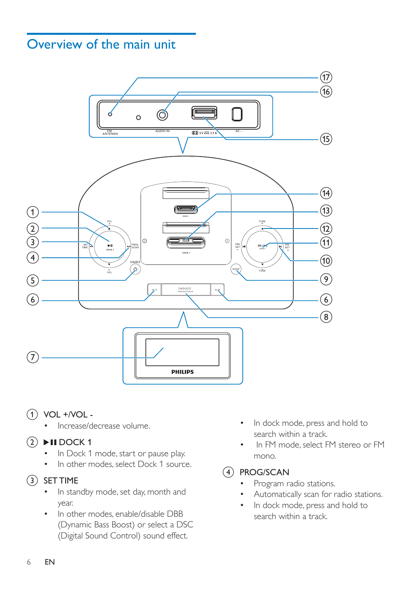## <span id="page-7-0"></span>Overview of the main unit



- $(1)$  VOL +/VOL -
	- Increase/decrease volume.

### $(2)$  DII DOCK 1

- In Dock 1 mode, start or pause play.
- In other modes, select Dock 1 source.

#### $(3)$  SET TIME

- In standby mode, set day, month and year.
- In other modes, enable/disable DBB (Dynamic Bass Boost) or select a DSC (Digital Sound Control) sound effect.
- In dock mode, press and hold to search within a track.
- In FM mode, select FM stereo or FM mono.

#### $(4)$  PROG/SCAN

- Program radio stations.
- Automatically scan for radio stations.
- In dock mode, press and hold to search within a track.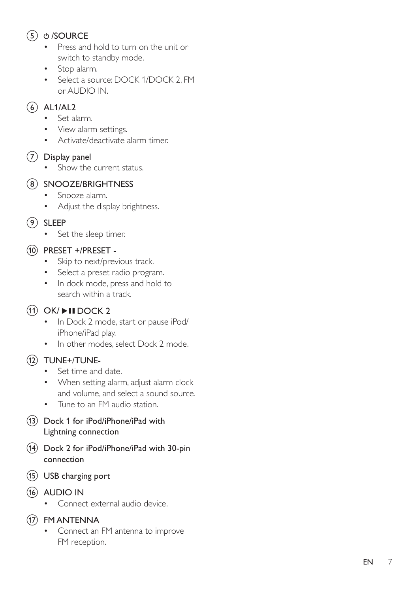## (5) c /SOURCE

- Press and hold to turn on the unit or switch to standby mode.
- Stop alarm.
- Select a source: DOCK 1/DOCK 2, FM or AUDIO IN.

### $(6)$  AL1/AL2

- Set alarm.
- View alarm settings.
- Activate/deactivate alarm timer.

## $(7)$  Display panel

• Show the current status.

#### (8) SNOOZE/BRIGHTNESS

- Snooze alarm.
- Adjust the display brightness.

#### $(9)$  SLEEP

• Set the sleep timer.

### (10) PRESET +/PRESET -

- Skip to next/previous track.
- Select a preset radio program.
- In dock mode, press and hold to search within a track.

## $(h)$  OK/ $\blacktriangleright$ II DOCK 2

- In Dock 2 mode, start or pause iPod/ iPhone/iPad play.
- In other modes, select Dock 2 mode.

### (12) TUNE+/TUNE-

- Set time and date.
- When setting alarm, adjust alarm clock and volume, and select a sound source.
- Tune to an FM audio station.
- (13) Dock 1 for iPod/iPhone/iPad with Lightning connection
- n Dock 2 for iPod/iPhone/iPad with 30-pin connection
- (15) USB charging port
- $(16)$  AUDIO IN
	- Connect external audio device.

## (17) FM ANTENNA

 Connect an FM antenna to improve FM reception.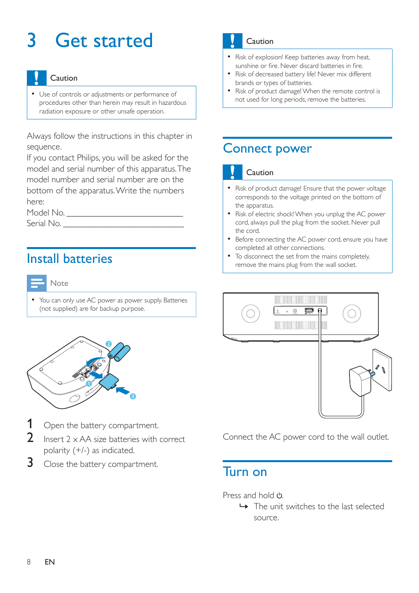## <span id="page-9-0"></span>3 Get started

#### Caution

 Use of controls or adjustments or performance of procedures other than herein may result in hazardous radiation exposure or other unsafe operation.

Always follow the instructions in this chapter in sequence.

If you contact Philips, you will be asked for the model and serial number of this apparatus. The model number and serial number are on the bottom of the apparatus. Write the numbers here:

Model No. \_\_\_\_\_\_\_\_\_\_\_\_\_\_\_\_\_\_\_\_\_\_\_\_\_\_

Serial No. \_\_\_\_\_\_\_\_\_\_\_\_\_\_\_\_\_\_\_\_\_\_\_\_\_\_\_

## Install batteries



• You can only use AC power as power supply. Batteries (not supplied) are for backup purpose.



- Open the battery compartment.
- Insert  $2 \times AA$  size batteries with correct polarity (+/-) as indicated.
- $3$  Close the battery compartment.

## Caution

- Risk of explosion! Keep batteries away from heat, sunshine or fire. Never discard batteries in fire.
- Risk of decreased battery life! Never mix different brands or types of batteries.
- Risk of product damage! When the remote control is not used for long periods, remove the batteries.

## Connect power

#### Caution

- Risk of product damage! Ensure that the power voltage corresponds to the voltage printed on the bottom of the apparatus.
- Risk of electric shock! When you unplug the AC power cord, always pull the plug from the socket. Never pull the cord.
- Before connecting the AC power cord, ensure you have completed all other connections.
- To disconnect the set from the mains completely. remove the mains plug from the wall socket.



Connect the AC power cord to the wall outlet.

## Turn on

Press and hold (<sup>1</sup>)

 » The unit switches to the last selected source.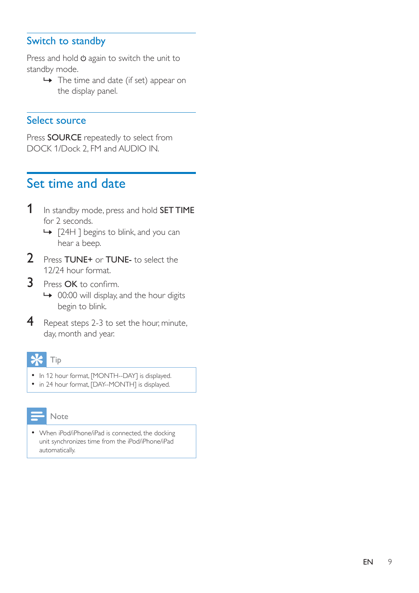### <span id="page-10-0"></span>Switch to standby

Press and hold  $\Phi$  again to switch the unit to standby mode.

 $\rightarrow$  The time and date (if set) appear on the display panel.

#### Select source

Press SOURCE repeatedly to select from DOCK 1/Dock 2, FM and AUDIO IN.

## Set time and date

- 1 In standby mode, press and hold **SET TIME** for 2 seconds.
	- » [24H ] begins to blink, and you can hear a beep.
- 2 Press TUNE+ or TUNE- to select the 12/24 hour format.
- 3 Press OK to confirm. → 00:00 will display, and the hour digits begin to blink.
- 4 Repeat steps 2-3 to set the hour, minute, day, month and year.

### Tip

- In 12 hour format, [MONTH--DAY] is displayed.
- in 24 hour format, [DAY--MONTH] is displayed.

## Note

 When iPod/iPhone/iPad is connected, the docking unit synchronizes time from the iPod/iPhone/iPad automatically.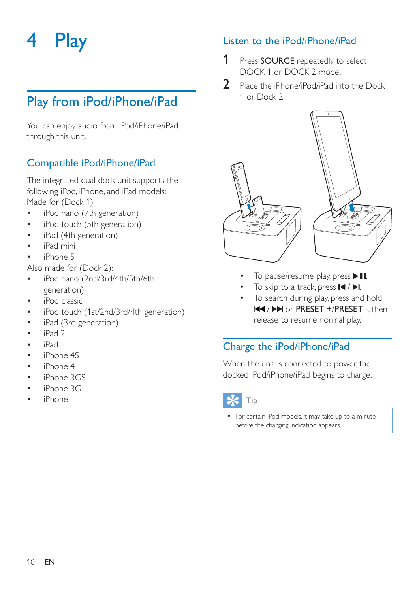## <span id="page-11-0"></span>4 Play

## Play from iPod/iPhone/iPad

You can enjoy audio from iPod/iPhone/iPad through this unit.

### Compatible iPod/iPhone/iPad

The integrated dual dock unit supports the following iPod, iPhone, and iPad models: Made for (Dock 1):

- iPod nano (7th generation)
- iPod touch (5th generation)
- iPad (4th generation)
- iPad mini
- iPhone 5

Also made for (Dock 2):

- iPod nano (2nd/3rd/4th/5th/6th generation)
- iPod classic
- iPod touch (1st/2nd/3rd/4th generation)
- iPad (3rd generation)
- iPad 2
- iPad
- iPhone 4S
- iPhone 4
- iPhone 3GS
- iPhone 3G
- iPhone

#### Listen to the iPod/iPhone/iPad

- 1 Press SOURCE repeatedly to select DOCK 1 or DOCK 2 mode.
- 2 Place the iPhone/iPod/iPad into the Dock 1 or Dock 2.



- 
- To skip to a track, press  $\blacksquare$  /  $\blacksquare$
- To search during play, press and hold / or PRESET +/PRESET -, then release to resume normal play.

## Charge the iPod/iPhone/iPad

When the unit is connected to power, the docked iPod/iPhone/iPad begins to charge.

## Tip

 For certain iPod models, it may take up to a minute before the charging indication appears.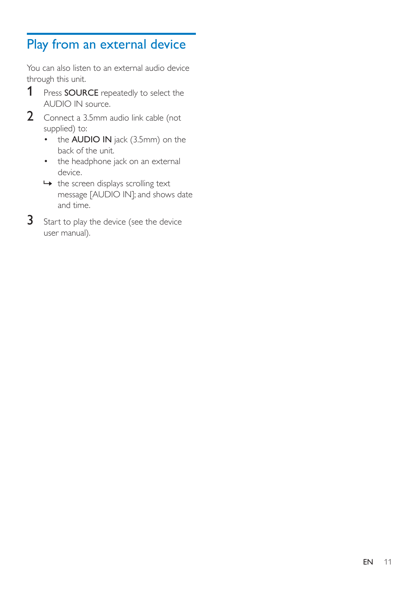## <span id="page-12-0"></span>Play from an external device

You can also listen to an external audio device through this unit.

- 1 Press SOURCE repeatedly to select the AUDIO IN source.
- 2 Connect a 3.5mm audio link cable (not supplied) to:
	- the **AUDIO IN** jack (3.5mm) on the back of the unit.
	- the headphone jack on an external device.
	- $\rightarrow$  the screen displays scrolling text message [AUDIO IN]; and shows date and time.
- 3 Start to play the device (see the device user manual).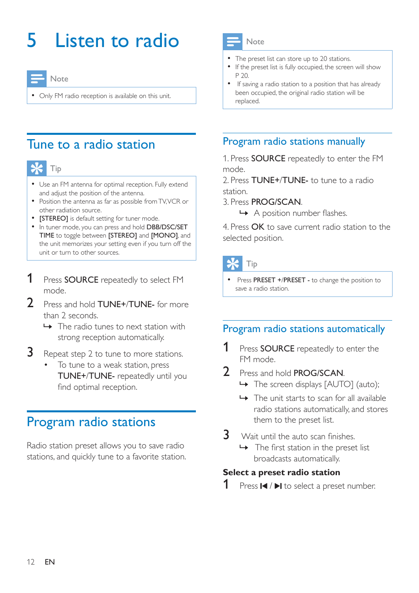## <span id="page-13-0"></span>5 Listen to radio

Note

Only FM radio reception is available on this unit.

## Tune to a radio station



- Use an FM antenna for optimal reception. Fully extend and adjust the position of the antenna.
- Position the antenna as far as possible from TV, VCR or other radiation source.
- [STEREO] is default setting for tuner mode.
- In tuner mode, you can press and hold DBB/DSC/SET TIME to toggle between [STEREO] and [MONO], and the unit memorizes your setting even if you turn off the unit or turn to other sources.
- 1 Press SOURCE repeatedly to select FM mode.
- 2 Press and hold **TUNE+/TUNE-** for more than 2 seconds.
	- $\rightarrow$  The radio tunes to next station with strong reception automatically.
- **3** Repeat step 2 to tune to more stations.
	- To tune to a weak station, press TUNE+/TUNE- repeatedly until you find optimal reception.

## Program radio stations

Radio station preset allows you to save radio stations, and quickly tune to a favorite station.



- The preset list can store up to 20 stations.
- If the preset list is fully occupied, the screen will show P 20.
- If saving a radio station to a position that has already been occupied, the original radio station will be replaced.

### Program radio stations manually

1. Press SOURCE repeatedly to enter the FM mode.

2. Press TUNE+/TUNE- to tune to a radio station.

- 3. Press PROG/SCAN.
	- $\rightarrow$  A position number flashes.

4. Press OK to save current radio station to the selected position.

Tip

Press PRESET +/PRESET - to change the position to save a radio station.

## Program radio stations automatically

- **1** Press **SOURCE** repeatedly to enter the FM mode.
- 2 Press and hold **PROG/SCAN**.
	- » The screen displays [AUTO] (auto);
	- $\rightarrow$  The unit starts to scan for all available radio stations automatically, and stores them to the preset list.
- $3$  Wait until the auto scan finishes.
	- $\rightarrow$  The first station in the preset list broadcasts automatically.

#### **Select a preset radio station**

**1** Press  $\blacksquare$  /  $\blacksquare$  to select a preset number.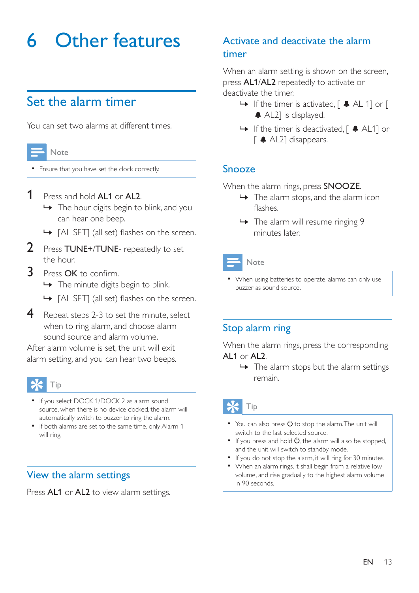## <span id="page-14-0"></span>6 Other features

## Set the alarm timer

You can set two alarms at different times.

| Note                               |
|------------------------------------|
| Ensure that you have set the clock |
| $\blacksquare$                     |

#### **1** Press and hold **AL1** or **AL2**.

 $\rightarrow$  The hour digits begin to blink, and you can hear one beep.

correctly.

- $\rightarrow$  [AL SET] (all set) flashes on the screen.
- 2 Press TUNE+/TUNE- repeatedly to set the hour.
- $\overline{3}$  Press OK to confirm.
	- » The minute digits begin to blink.
	- $\rightarrow$  [AL SET] (all set) flashes on the screen.
- 4 Repeat steps 2-3 to set the minute, select when to ring alarm, and choose alarm sound source and alarm volume.

After alarm volume is set, the unit will exit alarm setting, and you can hear two beeps.

## Tip

- If you select DOCK 1/DOCK 2 as alarm sound source, when there is no device docked, the alarm will automatically switch to buzzer to ring the alarm.
- If both alarms are set to the same time, only Alarm 1 will ring.

#### View the alarm settings

Press AL1 or AL2 to view alarm settings.

## Activate and deactivate the alarm timer

When an alarm setting is shown on the screen, press AL1/AL2 repeatedly to activate or deactivate the timer.

- $\rightarrow$  If the timer is activated,  $\left[\right. \right.$   $\left. \right.$  AL 1] or  $\left[$ AL2] is displayed.
- → If the timer is deactivated, [  $\triangle$  AL1] or [ AL2] disappears.

#### Snooze

When the alarm rings, press **SNOOZE**.

- $\rightarrow$  The alarm stops, and the alarm icon flashes
- » The alarm will resume ringing 9 minutes later.

#### Note

 When using batteries to operate, alarms can only use buzzer as sound source.

### Stop alarm ring

When the alarm rings, press the corresponding AL1 or AL2.

 $\rightarrow$  The alarm stops but the alarm settings remain.

## Tip

- $\bullet$  You can also press  $\circlearrowright$  to stop the alarm. The unit will switch to the last selected source.
- $\bullet$  If you press and hold  $\bullet$ , the alarm will also be stopped, and the unit will switch to standby mode.
- If you do not stop the alarm, it will ring for 30 minutes.
- When an alarm rings, it shall begin from a relative low volume, and rise gradually to the highest alarm volume in 90 seconds.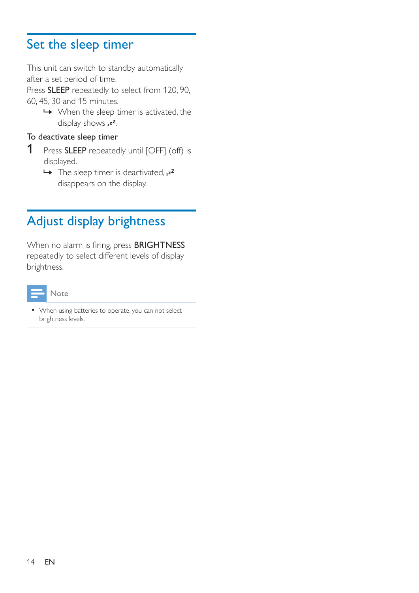## <span id="page-15-0"></span>Set the sleep timer

This unit can switch to standby automatically after a set period of time.

Press SLEEP repeatedly to select from 120, 90, 60, 45, 30 and 15 minutes.

 $\rightarrow$  When the sleep timer is activated, the display shows  $z^z$ .

#### To deactivate sleep timer

- 1 Press SLEEP repeatedly until [OFF] (off) is displayed.
	- $\rightarrow$  The sleep timer is deactivated,  $z^2$ disappears on the display.

## Adjust display brightness

When no alarm is firing, press BRIGHTNESS repeatedly to select different levels of display brightness.



 When using batteries to operate, you can not select brightness levels.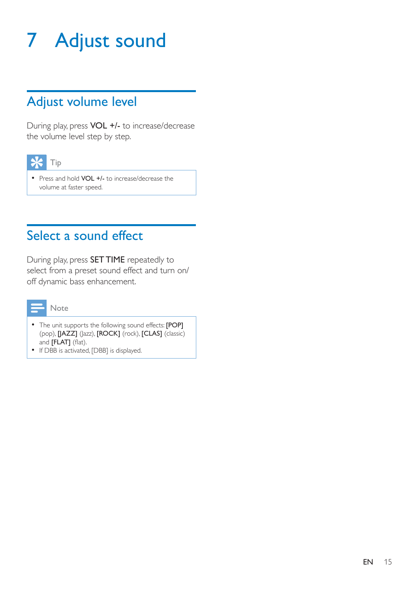## <span id="page-16-0"></span>7 Adjust sound

## Adjust volume level

During play, press VOL +/- to increase/decrease the volume level step by step.



• Press and hold VOL +/- to increase/decrease the volume at faster speed.

## Select a sound effect

During play, press SET TIME repeatedly to select from a preset sound effect and turn on/ off dynamic bass enhancement.



- The unit supports the following sound effects: [POP] (pop), [JAZZ] (Jazz), [ROCK] (rock), [CLAS] (classic) and [FLAT] (flat).
- If DBB is activated, [DBB] is displayed.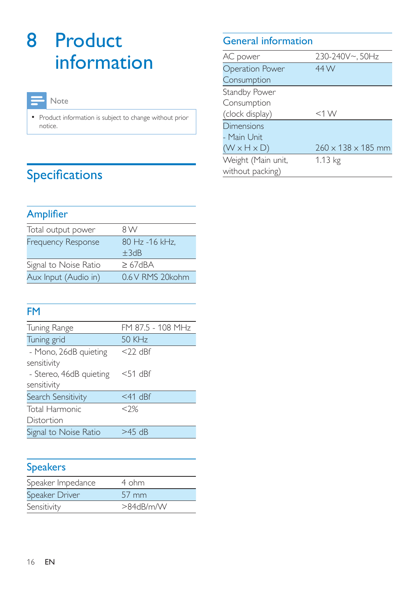## <span id="page-17-0"></span>8 Product information

#### Note

• Product information is subject to change without prior notice.

## Specifications

## Amplifier

| Total output power        | 8 W                          |
|---------------------------|------------------------------|
| <b>Frequency Response</b> | 80 Hz -16 kHz.<br>$\pm 3$ dB |
| Signal to Noise Ratio     | $\geq$ 67dBA                 |
| Aux Input (Audio in)      | 0.6 V RMS 20 kohm            |

## FM

| Tuning Range                                          | FM 87.5 - 108 MHz |
|-------------------------------------------------------|-------------------|
| Tuning grid                                           | 50 KHz            |
| - Mono, 26dB quieting                                 | $<$ 22 dBf        |
| sensitivity<br>- Stereo, 46dB quieting<br>sensitivity | $<$ 51 dBf        |
| Search Sensitivity                                    | $<$ 41 dBf        |
| Total Harmonic                                        | $<$ ?%            |
| Distortion                                            |                   |
| Signal to Noise Ratio                                 | $>45$ dB          |
|                                                       |                   |

## **Speakers**

| Speaker Impedance | 4 ohm               |
|-------------------|---------------------|
| Speaker Driver    | $57 \, \mathrm{mm}$ |
| Sensitivity       | >84dB/m/W           |

## General information

| AC power                | 230-240V~, 50Hz                |
|-------------------------|--------------------------------|
| <b>Operation Power</b>  | 44 W                           |
| Consumption             |                                |
| Standby Power           |                                |
| Consumption             |                                |
| (clock display)         | $<$ 1 W                        |
| Dimensions              |                                |
| - Main Unit             |                                |
| $(W \times H \times D)$ | $260 \times 138 \times 185$ mm |
| Weight (Main unit,      | 1.13 kg                        |
| without packing)        |                                |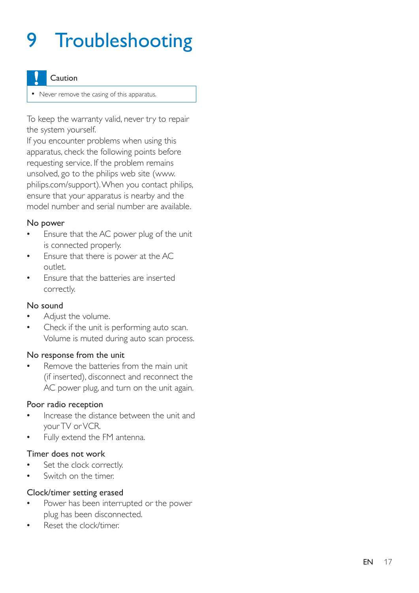## <span id="page-18-0"></span>9 Troubleshooting

#### Caution

• Never remove the casing of this apparatus.

To keep the warranty valid, never try to repair the system yourself.

If you encounter problems when using this apparatus, check the following points before requesting service. If the problem remains unsolved, go to the philips web site (www. philips.com/support). When you contact philips, ensure that your apparatus is nearby and the model number and serial number are available.

#### No power

- Ensure that the AC power plug of the unit is connected properly.
- Ensure that there is power at the AC outlet.
- Ensure that the batteries are inserted correctly.

#### No sound

- Adjust the volume.
- Check if the unit is performing auto scan. Volume is muted during auto scan process.

#### No response from the unit

 Remove the batteries from the main unit (if inserted), disconnect and reconnect the AC power plug, and turn on the unit again.

#### Poor radio reception

- Increase the distance between the unit and your TV or VCR.
- Fully extend the FM antenna.

#### Timer does not work

- Set the clock correctly.
- Switch on the timer.

#### Clock/timer setting erased

- Power has been interrupted or the power plug has been disconnected.
- Reset the clock/timer.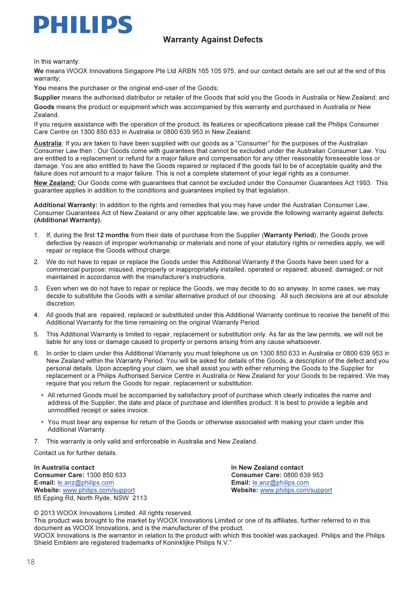

## $\mathcal{L}$   $\mathcal{L}$   $\mathcal{L}$   $\mathcal{L}$   $\mathcal{L}$   $\mathcal{L}$   $\mathcal{L}$   $\mathcal{L}$   $\mathcal{L}$   $\mathcal{L}$   $\mathcal{L}$   $\mathcal{L}$   $\mathcal{L}$   $\mathcal{L}$   $\mathcal{L}$   $\mathcal{L}$   $\mathcal{L}$   $\mathcal{L}$   $\mathcal{L}$   $\mathcal{L}$   $\mathcal{L}$   $\mathcal{L}$   $\mathcal{L}$   $\mathcal{L}$   $\mathcal{$

In this warranty:

We means WOOX Innovations Singapore Pte Ltd ARBN 165 105 975, and our contact details are set out at the end of this warranty;

You means the purchaser or the original end-user of the Goods;

Supplier means the authorised distributor or retailer of the Goods that sold you the Goods in Australia or New Zealand; and Goods means the product or equipment which was accompanied by this warranty and purchased in Australia or New Zealand.

If you require assistance with the operation of the product, its features or specifications please call the Philips Consumer Care Centre on 1300 850 633 in Australia or 0800 639 953 in New Zealand.

Australia: If you are taken to have been supplied with our goods as a "Consumer" for the purposes of the Australian Consumer Law then : Our Goods come with guarantees that cannot be excluded under the Australian Consumer Law. You are entitled to a replacement or refund for a major failure and compensation for any other reasonably foreseeable loss or damage. You are also entitled to have the Goods repaired or replaced if the goods fail to be of acceptable quality and the failure does not amount to a major failure. This is not a complete statement of your legal rights as a consumer.

New Zealand: Our Goods come with guarantees that cannot be excluded under the Consumer Guarantees Act 1993. This guarantee applies in addition to the conditions and guarantees implied by that legislation.

Additional Warranty: In addition to the rights and remedies that you may have under the Australian Consumer Law, Consumer Guarantees Act of New Zealand or any other applicable law, we provide the following warranty against defects: (Additional Warranty).

- 1. If, during the first 12 months from their date of purchase from the Supplier (Warranty Period), the Goods prove defective by reason of improper workmanship or materials and none of your statutory rights or remedies apply, we will repair or replace the Goods without charge.
- 2. We do not have to repair or replace the Goods under this Additional Warranty if the Goods have been used for a commercial purpose; misused, improperly or inappropriately installed, operated or repaired; abused; damaged; or not maintained in accordance with the manufacturer's instructions.
- 3. Even when we do not have to repair or replace the Goods, we may decide to do so anyway. In some cases, we may decide to substitute the Goods with a similar alternative product of our choosing. All such decisions are at our absolute discretion.
- 4. All goods that are repaired, replaced or substituted under this Additional Warranty continue to receive the benefit of this Additional Warranty for the time remaining on the original Warranty Period.
- 5. This Additional Warranty is limited to repair, replacement or substitution only. As far as the law permits, we will not be liable for any loss or damage caused to property or persons arising from any cause whatsoever.
- 6. In order to claim under this Additional Warranty you must telephone us on 1300 850 633 in Australia or 0800 639 953 in New Zealand within the Warranty Period. You will be asked for details of the Goods, a description of the defect and you personal details. Upon accepting your claim, we shall assist you with either returning the Goods to the Supplier for replacement or a Philips Authorised Service Centre in Australia or New Zealand for your Goods to be repaired. We may require that you return the Goods for repair, replacement or substitution.
	- ∗ All returned Goods must be accompanied by satisfactory proof of purchase which clearly indicates the name and address of the Supplier, the date and place of purchase and identifies product. It is best to provide a legible and unmodified receipt or sales invoice.
	- ∗ You must bear any expense for return of the Goods or otherwise associated with making your claim under this Additional Warranty.
- 7. This warranty is only valid and enforceable in Australia and New Zealand.

Contact us for further details.

In Australia contact In New Zealand contact Consumer Care: 1300 850 633<br> **E-mail:** le.anz@philips.com<br> **Email:** le.anz@philips.com E-mail: <u>le.anz@philips.com</u><br>Website: www.philips.com/support 65 Epping Rd, North Ryde, NSW 2113

Website: www.philips.com/support

© 2013 WOOX Innovations Limited. All rights reserved.

This product was brought to the market by WOOX Innovations Limited or one of its affiliates, further referred to in this document as WOOX Innovations, and is the manufacturer of the product.

WOOX Innovations is the warrantor in relation to the product with which this booklet was packaged. Philips and the Philips Shield Emblem are registered trademarks of Koninklijke Philips N.V."